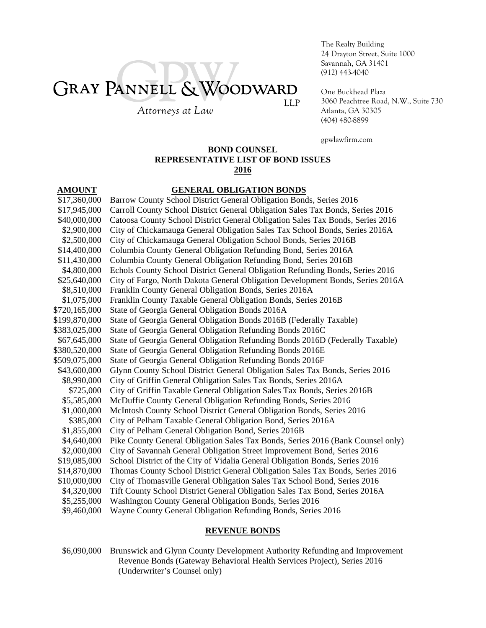# GRAY PANNELL & WOODWARD **LLP**

Attorneys at Law

The Realty Building 24 Drayton Street, Suite 1000 Savannah, GA 31401 (912) 443-4040

One Buckhead Plaza 3060 Peachtree Road, N.W., Suite 730 Atlanta, GA 30305 (404) 480-8899

gpwlawfirm.com

# **BOND COUNSEL REPRESENTATIVE LIST OF BOND ISSUES 2016**

## **AMOUNT GENERAL OBLIGATION BONDS**

\$17,360,000 Barrow County School District General Obligation Bonds, Series 2016 \$17,945,000 Carroll County School District General Obligation Sales Tax Bonds, Series 2016 \$40,000,000 Catoosa County School District General Obligation Sales Tax Bonds, Series 2016 \$2,900,000 City of Chickamauga General Obligation Sales Tax School Bonds, Series 2016A \$2,500,000 City of Chickamauga General Obligation School Bonds, Series 2016B \$14,400,000 Columbia County General Obligation Refunding Bond, Series 2016A \$11,430,000 Columbia County General Obligation Refunding Bond, Series 2016B \$4,800,000 Echols County School District General Obligation Refunding Bonds, Series 2016 \$25,640,000 City of Fargo, North Dakota General Obligation Development Bonds, Series 2016A \$8,510,000 Franklin County General Obligation Bonds, Series 2016A \$1,075,000 Franklin County Taxable General Obligation Bonds, Series 2016B \$720,165,000 State of Georgia General Obligation Bonds 2016A \$199,870,000 State of Georgia General Obligation Bonds 2016B (Federally Taxable) \$383,025,000 State of Georgia General Obligation Refunding Bonds 2016C \$67,645,000 State of Georgia General Obligation Refunding Bonds 2016D (Federally Taxable) \$380,520,000 State of Georgia General Obligation Refunding Bonds 2016E \$509,075,000 State of Georgia General Obligation Refunding Bonds 2016F \$43,600,000 Glynn County School District General Obligation Sales Tax Bonds, Series 2016 \$8,990,000 City of Griffin General Obligation Sales Tax Bonds, Series 2016A \$725,000 City of Griffin Taxable General Obligation Sales Tax Bonds, Series 2016B \$5,585,000 McDuffie County General Obligation Refunding Bonds, Series 2016 \$1,000,000 McIntosh County School District General Obligation Bonds, Series 2016 \$385,000 City of Pelham Taxable General Obligation Bond, Series 2016A \$1,855,000 City of Pelham General Obligation Bond, Series 2016B \$4,640,000 Pike County General Obligation Sales Tax Bonds, Series 2016 (Bank Counsel only) \$2,000,000 City of Savannah General Obligation Street Improvement Bond, Series 2016 \$19,085,000 School District of the City of Vidalia General Obligation Bonds, Series 2016 \$14,870,000 Thomas County School District General Obligation Sales Tax Bonds, Series 2016 \$10,000,000 City of Thomasville General Obligation Sales Tax School Bond, Series 2016 \$4,320,000 Tift County School District General Obligation Sales Tax Bond, Series 2016A \$5,255,000 Washington County General Obligation Bonds, Series 2016 \$9,460,000 Wayne County General Obligation Refunding Bonds, Series 2016

### **REVENUE BONDS**

\$6,090,000 Brunswick and Glynn County Development Authority Refunding and Improvement Revenue Bonds (Gateway Behavioral Health Services Project), Series 2016 (Underwriter's Counsel only)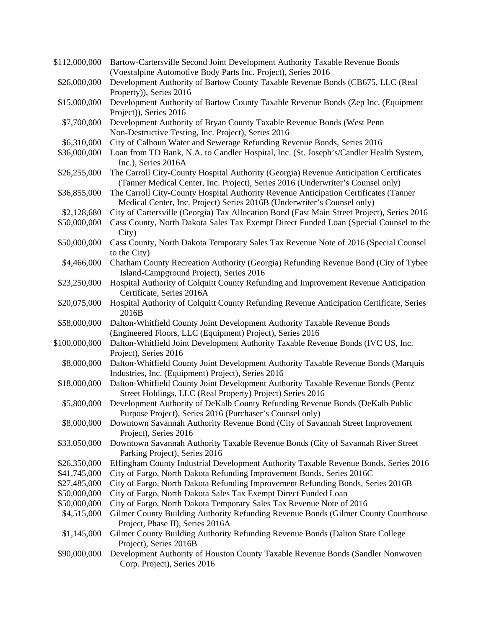| \$112,000,000 | Bartow-Cartersville Second Joint Development Authority Taxable Revenue Bonds                                                                                              |
|---------------|---------------------------------------------------------------------------------------------------------------------------------------------------------------------------|
|               | (Voestalpine Automotive Body Parts Inc. Project), Series 2016                                                                                                             |
| \$26,000,000  | Development Authority of Bartow County Taxable Revenue Bonds (CB675, LLC (Real<br>Property)), Series 2016                                                                 |
| \$15,000,000  | Development Authority of Bartow County Taxable Revenue Bonds (Zep Inc. (Equipment                                                                                         |
|               | Project)), Series 2016                                                                                                                                                    |
| \$7,700,000   | Development Authority of Bryan County Taxable Revenue Bonds (West Penn                                                                                                    |
|               | Non-Destructive Testing, Inc. Project), Series 2016                                                                                                                       |
| \$6,310,000   | City of Calhoun Water and Sewerage Refunding Revenue Bonds, Series 2016                                                                                                   |
| \$36,000,000  | Loan from TD Bank, N.A. to Candler Hospital, Inc. (St. Joseph's/Candler Health System,<br>Inc.), Series 2016A                                                             |
| \$26,255,000  | The Carroll City-County Hospital Authority (Georgia) Revenue Anticipation Certificates<br>(Tanner Medical Center, Inc. Project), Series 2016 (Underwriter's Counsel only) |
| \$36,855,000  | The Carroll City-County Hospital Authority Revenue Anticipation Certificates (Tanner<br>Medical Center, Inc. Project) Series 2016B (Underwriter's Counsel only)           |
| \$2,128,680   | City of Cartersville (Georgia) Tax Allocation Bond (East Main Street Project), Series 2016                                                                                |
| \$50,000,000  | Cass County, North Dakota Sales Tax Exempt Direct Funded Loan (Special Counsel to the<br>City)                                                                            |
| \$50,000,000  | Cass County, North Dakota Temporary Sales Tax Revenue Note of 2016 (Special Counsel                                                                                       |
|               | to the City)                                                                                                                                                              |
| \$4,466,000   | Chatham County Recreation Authority (Georgia) Refunding Revenue Bond (City of Tybee                                                                                       |
|               | Island-Campground Project), Series 2016                                                                                                                                   |
| \$23,250,000  | Hospital Authority of Colquitt County Refunding and Improvement Revenue Anticipation                                                                                      |
|               | Certificate, Series 2016A                                                                                                                                                 |
| \$20,075,000  | Hospital Authority of Colquitt County Refunding Revenue Anticipation Certificate, Series                                                                                  |
|               |                                                                                                                                                                           |
|               | 2016B                                                                                                                                                                     |
| \$58,000,000  | Dalton-Whitfield County Joint Development Authority Taxable Revenue Bonds                                                                                                 |
| \$100,000,000 | (Engineered Floors, LLC (Equipment) Project), Series 2016<br>Dalton-Whitfield Joint Development Authority Taxable Revenue Bonds (IVC US, Inc.                             |
|               | Project), Series 2016                                                                                                                                                     |
| \$8,000,000   | Dalton-Whitfield County Joint Development Authority Taxable Revenue Bonds (Marquis<br>Industries, Inc. (Equipment) Project), Series 2016                                  |
| \$18,000,000  | Dalton-Whitfield County Joint Development Authority Taxable Revenue Bonds (Pentz<br>Street Holdings, LLC (Real Property) Project) Series 2016                             |
| \$5,800,000   | Development Authority of DeKalb County Refunding Revenue Bonds (DeKalb Public                                                                                             |
|               | Purpose Project), Series 2016 (Purchaser's Counsel only)                                                                                                                  |
| \$8,000,000   | Downtown Savannah Authority Revenue Bond (City of Savannah Street Improvement                                                                                             |
|               | Project), Series 2016                                                                                                                                                     |
| \$33,050,000  | Downtown Savannah Authority Taxable Revenue Bonds (City of Savannah River Street                                                                                          |
|               | Parking Project), Series 2016                                                                                                                                             |
| \$26,350,000  | Effingham County Industrial Development Authority Taxable Revenue Bonds, Series 2016                                                                                      |
| \$41,745,000  | City of Fargo, North Dakota Refunding Improvement Bonds, Series 2016C                                                                                                     |
| \$27,485,000  | City of Fargo, North Dakota Refunding Improvement Refunding Bonds, Series 2016B                                                                                           |
| \$50,000,000  | City of Fargo, North Dakota Sales Tax Exempt Direct Funded Loan                                                                                                           |
| \$50,000,000  | City of Fargo, North Dakota Temporary Sales Tax Revenue Note of 2016                                                                                                      |
| \$4,515,000   | Gilmer County Building Authority Refunding Revenue Bonds (Gilmer County Courthouse                                                                                        |
| \$1,145,000   | Project, Phase II), Series 2016A<br>Gilmer County Building Authority Refunding Revenue Bonds (Dalton State College                                                        |
| \$90,000,000  | Project), Series 2016B<br>Development Authority of Houston County Taxable Revenue Bonds (Sandler Nonwoven                                                                 |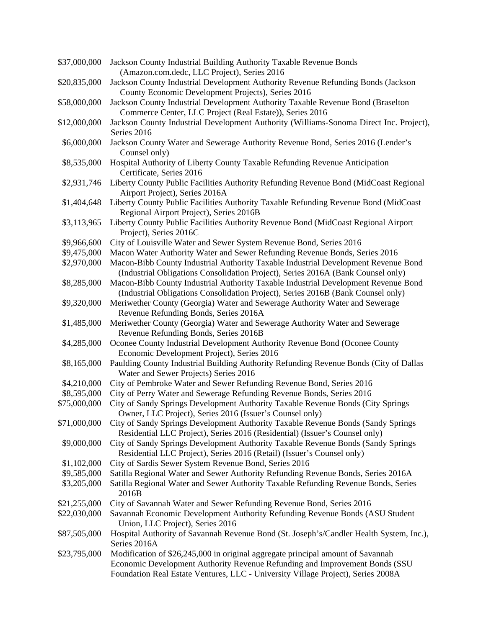| \$37,000,000 | Jackson County Industrial Building Authority Taxable Revenue Bonds<br>(Amazon.com.dedc, LLC Project), Series 2016                                               |
|--------------|-----------------------------------------------------------------------------------------------------------------------------------------------------------------|
| \$20,835,000 | Jackson County Industrial Development Authority Revenue Refunding Bonds (Jackson                                                                                |
|              | County Economic Development Projects), Series 2016                                                                                                              |
| \$58,000,000 | Jackson County Industrial Development Authority Taxable Revenue Bond (Braselton                                                                                 |
|              | Commerce Center, LLC Project (Real Estate)), Series 2016                                                                                                        |
| \$12,000,000 | Jackson County Industrial Development Authority (Williams-Sonoma Direct Inc. Project),                                                                          |
|              | Series 2016                                                                                                                                                     |
| \$6,000,000  | Jackson County Water and Sewerage Authority Revenue Bond, Series 2016 (Lender's                                                                                 |
|              | Counsel only)                                                                                                                                                   |
| \$8,535,000  | Hospital Authority of Liberty County Taxable Refunding Revenue Anticipation<br>Certificate, Series 2016                                                         |
| \$2,931,746  | Liberty County Public Facilities Authority Refunding Revenue Bond (MidCoast Regional                                                                            |
|              | Airport Project), Series 2016A                                                                                                                                  |
| \$1,404,648  | Liberty County Public Facilities Authority Taxable Refunding Revenue Bond (MidCoast                                                                             |
|              | Regional Airport Project), Series 2016B                                                                                                                         |
| \$3,113,965  | Liberty County Public Facilities Authority Revenue Bond (MidCoast Regional Airport                                                                              |
|              | Project), Series 2016C                                                                                                                                          |
| \$9,966,600  | City of Louisville Water and Sewer System Revenue Bond, Series 2016                                                                                             |
| \$9,475,000  | Macon Water Authority Water and Sewer Refunding Revenue Bonds, Series 2016                                                                                      |
| \$2,970,000  | Macon-Bibb County Industrial Authority Taxable Industrial Development Revenue Bond                                                                              |
|              | (Industrial Obligations Consolidation Project), Series 2016A (Bank Counsel only)                                                                                |
| \$8,285,000  | Macon-Bibb County Industrial Authority Taxable Industrial Development Revenue Bond                                                                              |
|              | (Industrial Obligations Consolidation Project), Series 2016B (Bank Counsel only)                                                                                |
| \$9,320,000  | Meriwether County (Georgia) Water and Sewerage Authority Water and Sewerage                                                                                     |
|              | Revenue Refunding Bonds, Series 2016A                                                                                                                           |
| \$1,485,000  | Meriwether County (Georgia) Water and Sewerage Authority Water and Sewerage                                                                                     |
|              | Revenue Refunding Bonds, Series 2016B                                                                                                                           |
| \$4,285,000  | Oconee County Industrial Development Authority Revenue Bond (Oconee County                                                                                      |
|              | Economic Development Project), Series 2016                                                                                                                      |
| \$8,165,000  | Paulding County Industrial Building Authority Refunding Revenue Bonds (City of Dallas                                                                           |
|              | Water and Sewer Projects) Series 2016                                                                                                                           |
| \$4,210,000  | City of Pembroke Water and Sewer Refunding Revenue Bond, Series 2016                                                                                            |
| \$8,595,000  | City of Perry Water and Sewerage Refunding Revenue Bonds, Series 2016                                                                                           |
| \$75,000,000 | City of Sandy Springs Development Authority Taxable Revenue Bonds (City Springs                                                                                 |
|              | Owner, LLC Project), Series 2016 (Issuer's Counsel only)                                                                                                        |
| \$71,000,000 | City of Sandy Springs Development Authority Taxable Revenue Bonds (Sandy Springs<br>Residential LLC Project), Series 2016 (Residential) (Issuer's Counsel only) |
| \$9,000,000  | City of Sandy Springs Development Authority Taxable Revenue Bonds (Sandy Springs                                                                                |
|              | Residential LLC Project), Series 2016 (Retail) (Issuer's Counsel only)                                                                                          |
| \$1,102,000  | City of Sardis Sewer System Revenue Bond, Series 2016                                                                                                           |
| \$9,585,000  | Satilla Regional Water and Sewer Authority Refunding Revenue Bonds, Series 2016A                                                                                |
| \$3,205,000  | Satilla Regional Water and Sewer Authority Taxable Refunding Revenue Bonds, Series                                                                              |
|              | 2016B                                                                                                                                                           |
| \$21,255,000 | City of Savannah Water and Sewer Refunding Revenue Bond, Series 2016                                                                                            |
| \$22,030,000 | Savannah Economic Development Authority Refunding Revenue Bonds (ASU Student                                                                                    |
|              | Union, LLC Project), Series 2016                                                                                                                                |
| \$87,505,000 | Hospital Authority of Savannah Revenue Bond (St. Joseph's/Candler Health System, Inc.),                                                                         |
|              | Series 2016A                                                                                                                                                    |
| \$23,795,000 | Modification of \$26,245,000 in original aggregate principal amount of Savannah                                                                                 |
|              | Economic Development Authority Revenue Refunding and Improvement Bonds (SSU                                                                                     |
|              | Foundation Real Estate Ventures, LLC - University Village Project), Series 2008A                                                                                |